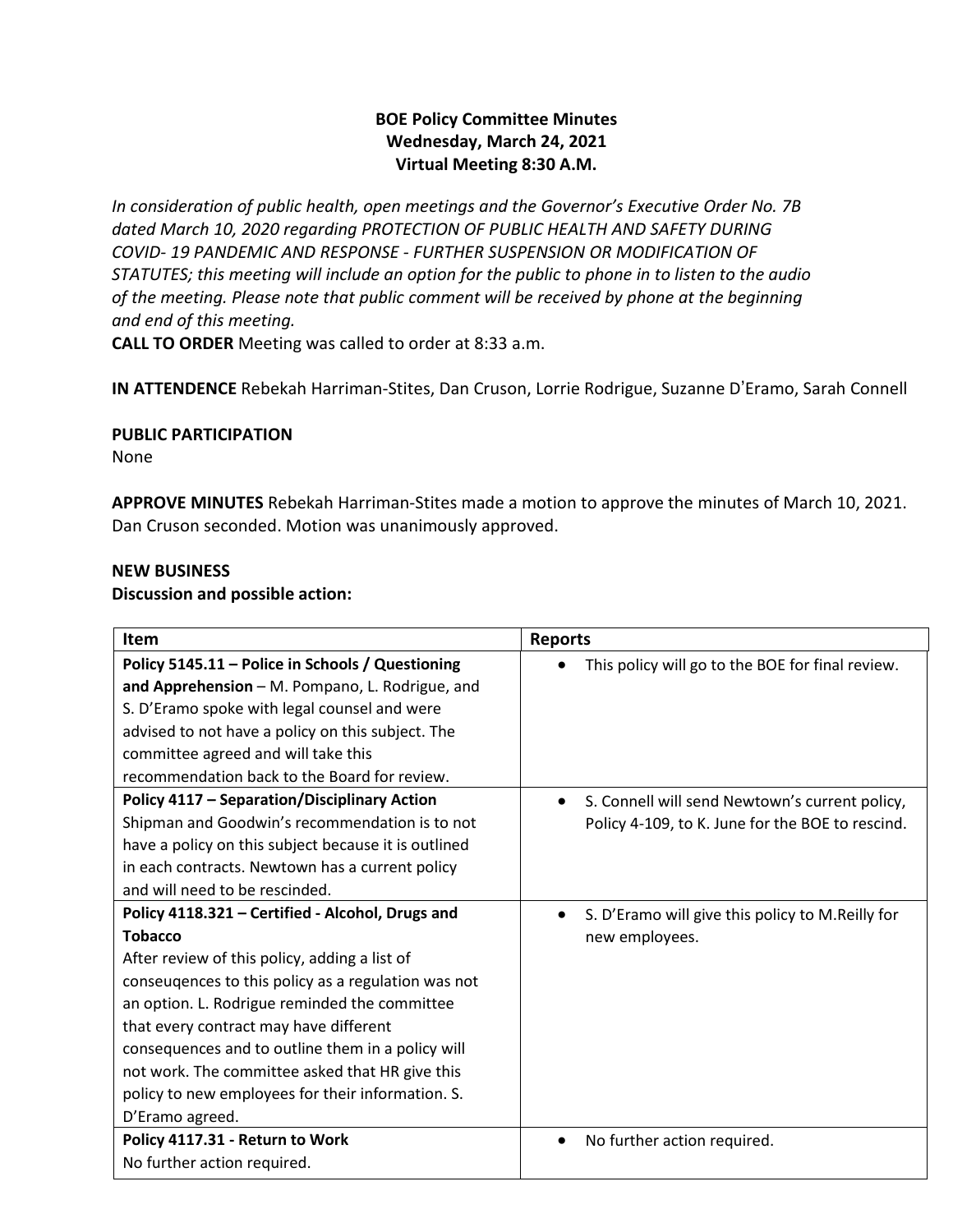# **BOE Policy Committee Minutes Wednesday, March 24, 2021 Virtual Meeting 8:30 A.M.**

*In consideration of public health, open meetings and the Governor's Executive Order No. 7B dated March 10, 2020 regarding PROTECTION OF PUBLIC HEALTH AND SAFETY DURING COVID- 19 PANDEMIC AND RESPONSE - FURTHER SUSPENSION OR MODIFICATION OF STATUTES; this meeting will include an option for the public to phone in to listen to the audio of the meeting. Please note that public comment will be received by phone at the beginning and end of this meeting.*

**CALL TO ORDER** Meeting was called to order at 8:33 a.m.

**IN ATTENDENCE** Rebekah Harriman-Stites, Dan Cruson, Lorrie Rodrigue, Suzanne D'Eramo, Sarah Connell

#### **PUBLIC PARTICIPATION**

None

**APPROVE MINUTES** Rebekah Harriman-Stites made a motion to approve the minutes of March 10, 2021. Dan Cruson seconded. Motion was unanimously approved.

#### **NEW BUSINESS**

#### **Discussion and possible action:**

| <b>Item</b>                                          | <b>Reports</b>                                              |
|------------------------------------------------------|-------------------------------------------------------------|
| Policy 5145.11 - Police in Schools / Questioning     | This policy will go to the BOE for final review.            |
| and Apprehension - M. Pompano, L. Rodrigue, and      |                                                             |
| S. D'Eramo spoke with legal counsel and were         |                                                             |
| advised to not have a policy on this subject. The    |                                                             |
| committee agreed and will take this                  |                                                             |
| recommendation back to the Board for review.         |                                                             |
| <b>Policy 4117 - Separation/Disciplinary Action</b>  | S. Connell will send Newtown's current policy,<br>$\bullet$ |
| Shipman and Goodwin's recommendation is to not       | Policy 4-109, to K. June for the BOE to rescind.            |
| have a policy on this subject because it is outlined |                                                             |
| in each contracts. Newtown has a current policy      |                                                             |
| and will need to be rescinded.                       |                                                             |
| Policy 4118.321 - Certified - Alcohol, Drugs and     | S. D'Eramo will give this policy to M.Reilly for            |
| <b>Tobacco</b>                                       | new employees.                                              |
| After review of this policy, adding a list of        |                                                             |
| conseugences to this policy as a regulation was not  |                                                             |
| an option. L. Rodrigue reminded the committee        |                                                             |
| that every contract may have different               |                                                             |
| consequences and to outline them in a policy will    |                                                             |
| not work. The committee asked that HR give this      |                                                             |
| policy to new employees for their information. S.    |                                                             |
| D'Eramo agreed.                                      |                                                             |
| Policy 4117.31 - Return to Work                      | No further action required.<br>$\bullet$                    |
| No further action required.                          |                                                             |